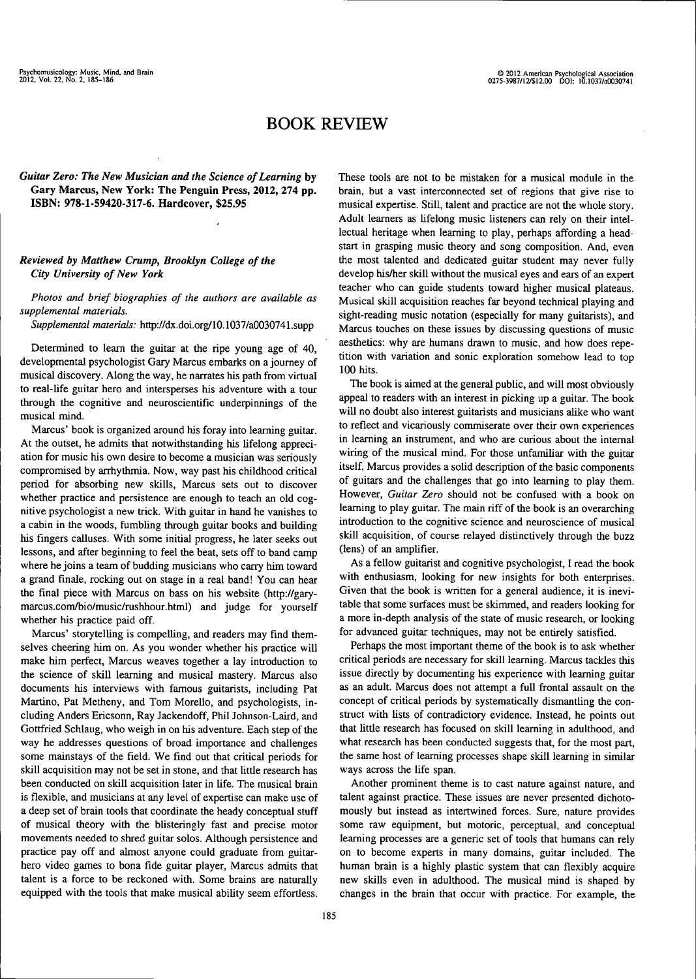## BOOK REVIEW

## *Guitar Zero: The New Musician and the Science of Learning* **by Gary Marcus, New York: The Penguin Press, 2012, 274 pp. ISBN: 978-1-59420-317-6. Hardcover, \$25.95**

## *Reviewed by Matthew Crump, Brooklyn College of the City University of New York*

*Photos and brief biographies of the authors are available as supplemental materials.*

*Supplemental materials:* http://dx.doi.org/10.1037/a0030741.supp

Determined to leam the guitar at the ripe young age of 40, developmental psychologist Gary Marcus embarks on a joumey of musical discovery. Along the way, he narrates his path from virtual to real-Ufe guitar hero and intersperses his adventure with a tour through the cognitive and neuroscientific underpinnings of the musical mind.

Marcus' book is organized around his foray into leaming guitar. At the outset, he admits that notwithstanding his lifelong appreciation for music his own desire to become a musician was seriously compromised by arrhythmia. Now, way past his childhood critical period for absorbing new skills, Marcus sets out to discover whether practice and persistence are enough to teach an old cognitive psychologist a new trick. With guitar in hand he vanishes to a cabin in the woods, fumbling through guitar books and building his fmgers calluses. With some initial progress, he later seeks out lessons, and after beginning to feel the beat, sets off to band camp where he joins a team of budding musicians who carry him toward a grand finale, rocking out on stage in a real band! You can hear the final piece with Marcus on bass on his website (http://garymarcus.com/bio/music/rushhour.html) and judge for yourself whether his practice paid off.

Marcus' storytelling is compelling, and readers may find themselves cheering him on. As you wonder whether his practice will make him perfect, Marcus weaves together a lay introduction to the science of skill leaming and musical mastery. Marcus also documents his interviews with famous guitarists, including Pat Martino, Pat Metheny, and Tom Morello, and psychologists, including Anders Ericsonn, Ray Jackendoff, Phil Johnson-Laird, and Gottfried Schlaug, who weigh in on his adventure. Each step of the way he addresses questions of broad importance and challenges some mainstays of the field. We find out that critical periods for skill acquisition may not be set in stone, and that little research has been conducted on skill acquisition later in life. The musical brain is flexible, and musicians at any level of expertise can make use of a deep set of brain tools that coordinate the heady conceptual stuff of musical theory with the bhsteringly fast and precise motor movements needed to shred guitar solos. Although persistence and practice pay off and almost anyone could graduate from guitarhero video games to bona fide guitar player, Marcus admits that talent is a force to be reckoned with. Some brains are naturally equipped with the tools that make musical ability seem effortless.

These tools are not to be mistaken for a musical module in the brain, but a vast interconnected set of regions that give rise to musical expertise. Still, talent and practice are not the whole story. Adult learners as lifelong music listeners can rely on their intellectual heritage when leaming to play, perhaps affording a headstart in grasping music theory and song composition. And, even the most talented and dedicated guitar student may never fully develop his/her skill without the musical eyes and ears of an expert teacher who can guide students toward higher musical plateaus. Musical skill acquisition reaches far beyond technical playing and sight-reading music notation (especially for many guitarists), and Marcus touches on these issues by discussing questions of music aesthetics: why are humans drawn to music, and how does repetition with variation and sonic exploration somehow lead to top 100 hits.

The book is aimed at the general public, and will most obviously appeal to readers with an interest in picking up a guitar. The book will no doubt also interest guitarists and musicians alike who want to reflect and vicariously commiserate over their own experiences in leaming an instrument, and who are curious about the intemal wiring of the musical mind. For those unfamiliar with the guitar itself, Marcus provides a solid description of the basic components of guitars and the challenges that go into leaming to play them. However, *Guitar Zero* should not be confused with a book on leaming to play guitar. The main riff of the book is an overarching introduction to the cognitive science and neuroscience of musical skill acquisition, of course relayed distinctively through the buzz (lens) of an amplifier.

As a fellow guitarist and cognitive psychologist, I read the book with enthusiasm, looking for new insights for both enterprises. Given that the book is written for a general audience, it is inevitable that some surfaces must be skimmed, and readers looking for a more in-depth analysis of the state of music research, or looking for advanced guitar techniques, may not be entirely satisfied.

Perhaps the most important theme of the book is to ask whether critical periods are necessary for skill leaming. Marcus tackles this issue directly by documenting his experience with leaming guitar as an adult. Marcus does not attempt a full frontal assault on the concept of critical periods by systematically dismantling the construct with hsts of contradictory evidence. Instead, he points out that httle research has focused on skill leaming in adulthood, and what research has been conducted suggests that, for the most part, the same host of learning processes shape skill leaming in similar ways across the life span.

Another prominent theme is to cast nature against nature, and talent against practice. These issues are never presented dichotomously but instead as intertwined forces. Sure, nature provides some raw equipment, but motoric, perceptual, and conceptual leaming processes are a generic set of tools that humans can rely on to become experts in many domains, guitar included. The human brain is a highly plastic system that can flexibly acquire new skills even in adulthood. The musical mind is shaped by changes in the brain that occur with practice. For example, the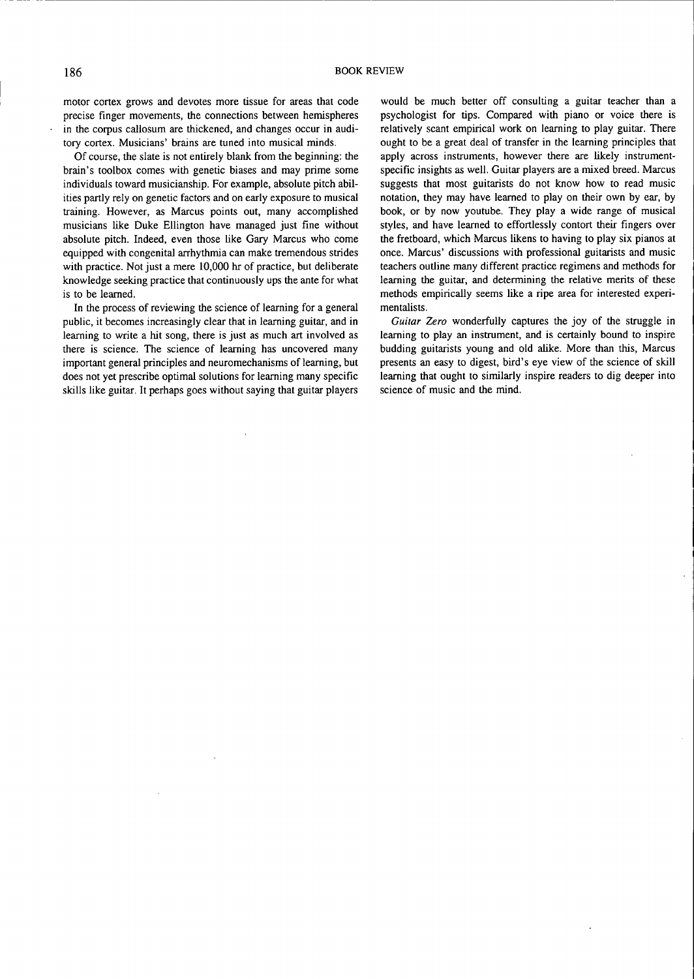motor cortex grows and devotes more tissue for areas that code precise finger movements, the connections between hemispheres in the corpus callosum are thickened, and changes occur in auditory cortex. Musicians' brains are tuned into musical minds.

Of course, the slate is not entirely blank from the beginning: the brain's toolbox comes with genetic biases and may prime some individuals toward musicianship. For example, absolute pitch abilities partly rely on genetic factors and on early exposure to musical training. However, as Marcus points out, many accomphshed musicians like Duke Ellington have managed just fine without absolute pitch. Indeed, even those like Gary Marcus who come equipped with congenital arrhythmia can make tremendous strides with practice. Not just a mere 10,000 hr of practice, but deliberate knowledge seeking practice that continuously ups the ante for what is to be leamed.

In the process of reviewing the science of leaming for a general public, it becomes increasingly clear that in leaming guitar, and in leaming to write a hit song, there is just as much art involved as there is science. The science of leaming has uncovered many important general principles and neuromechanisms of leaming, but does not yet prescribe optimal solutions for leaming many specific skills like guitar. It perhaps goes without saying that guitar players

would be much better off consulting a guitar teacher than a psychologist for tips. Compared with piano or voice there is relatively scant empirical work on leaming to play guitar. There ought to be a great deal of transfer in the leaming principles that apply across instruments, however there are likely instrumentspecific insights as well. Guitar players are a mixed breed. Marcus suggests that most guitarists do not know how to read music notation, they may have leamed to play on their own by ear, by book, or by now youtube. They play a wide range of musical styles, and have leamed to effortiessly contort their fingers over the fretboard, which Marcus likens to having to play six pianos at once. Marcus' discussions with professional guitarists and music teachers outline many different practice regimens and methods for leaming the guitar, and determining the relative merits of these methods empirically seems like a ripe area for interested experimentalists.

Guitar Zero wonderfully captures the joy of the struggle in leaming to play an instrument, and is certainly bound to inspire budding guitarists young and old alike. More than this, Marcus presents an easy to digest, bird's eye view of the science of skill leaming that ought to similarly inspire readers to dig deeper into science of music and the mind.